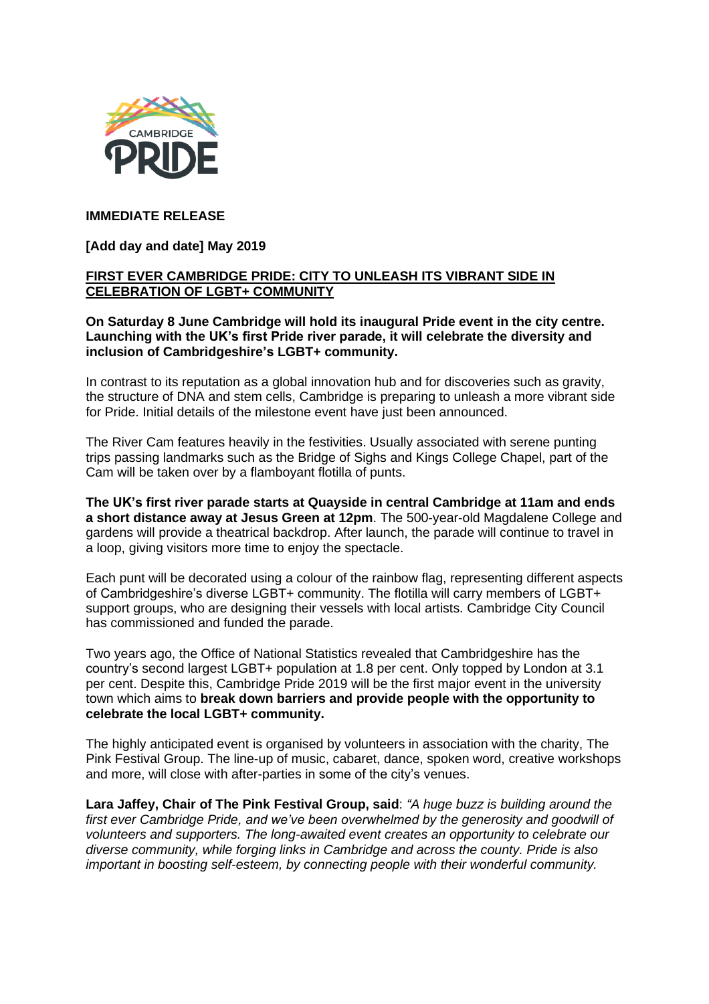

# **IMMEDIATE RELEASE**

# **[Add day and date] May 2019**

## **FIRST EVER CAMBRIDGE PRIDE: CITY TO UNLEASH ITS VIBRANT SIDE IN CELEBRATION OF LGBT+ COMMUNITY**

### **On Saturday 8 June Cambridge will hold its inaugural Pride event in the city centre. Launching with the UK's first Pride river parade, it will celebrate the diversity and inclusion of Cambridgeshire's LGBT+ community.**

In contrast to its reputation as a global innovation hub and for discoveries such as gravity, the structure of DNA and stem cells, Cambridge is preparing to unleash a more vibrant side for Pride. Initial details of the milestone event have just been announced.

The River Cam features heavily in the festivities. Usually associated with serene punting trips passing landmarks such as the Bridge of Sighs and Kings College Chapel, part of the Cam will be taken over by a flamboyant flotilla of punts.

**The UK's first river parade starts at Quayside in central Cambridge at 11am and ends a short distance away at Jesus Green at 12pm**. The 500-year-old Magdalene College and gardens will provide a theatrical backdrop. After launch, the parade will continue to travel in a loop, giving visitors more time to enjoy the spectacle.

Each punt will be decorated using a colour of the rainbow flag, representing different aspects of Cambridgeshire's diverse LGBT+ community. The flotilla will carry members of LGBT+ support groups, who are designing their vessels with local artists. Cambridge City Council has commissioned and funded the parade.

Two years ago, the Office of National Statistics revealed that Cambridgeshire has the country's second largest LGBT+ population at 1.8 per cent. Only topped by London at 3.1 per cent. Despite this, Cambridge Pride 2019 will be the first major event in the university town which aims to **break down barriers and provide people with the opportunity to celebrate the local LGBT+ community.**

The highly anticipated event is organised by volunteers in association with the charity, The Pink Festival Group. The line-up of music, cabaret, dance, spoken word, creative workshops and more, will close with after-parties in some of the city's venues.

**Lara Jaffey, Chair of The Pink Festival Group, said**: *"A huge buzz is building around the first ever Cambridge Pride, and we've been overwhelmed by the generosity and goodwill of volunteers and supporters. The long-awaited event creates an opportunity to celebrate our diverse community, while forging links in Cambridge and across the county. Pride is also important in boosting self-esteem, by connecting people with their wonderful community.*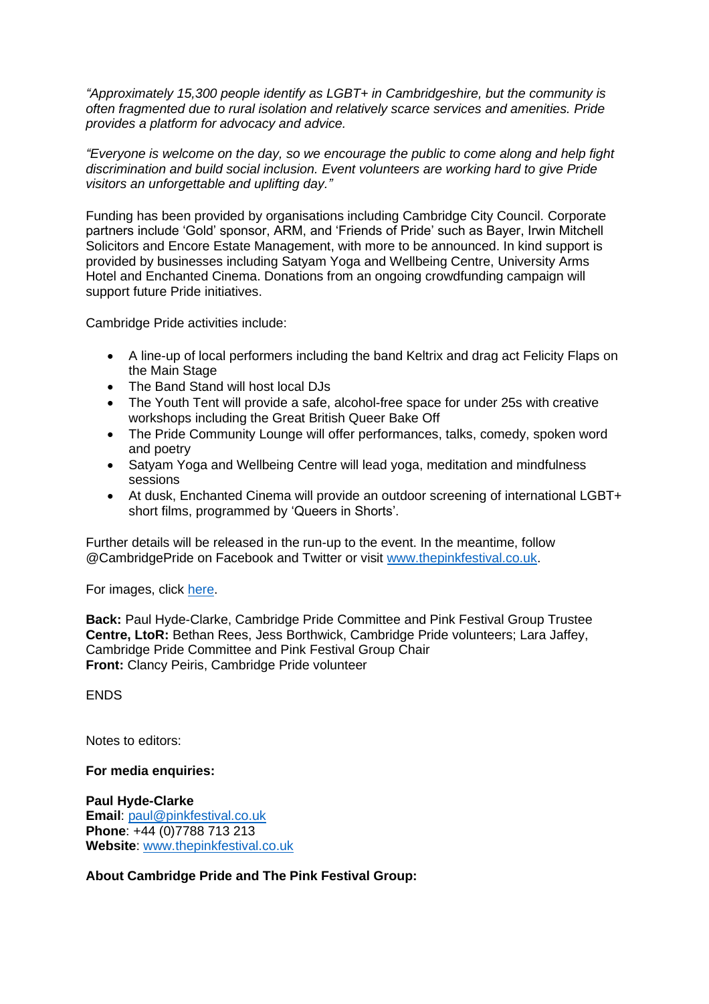*"Approximately 15,300 people identify as LGBT+ in Cambridgeshire, but the community is often fragmented due to rural isolation and relatively scarce services and amenities. Pride provides a platform for advocacy and advice.*

*"Everyone is welcome on the day, so we encourage the public to come along and help fight discrimination and build social inclusion. Event volunteers are working hard to give Pride visitors an unforgettable and uplifting day."*

Funding has been provided by organisations including Cambridge City Council. Corporate partners include 'Gold' sponsor, ARM, and 'Friends of Pride' such as Bayer, Irwin Mitchell Solicitors and Encore Estate Management, with more to be announced. In kind support is provided by businesses including Satyam Yoga and Wellbeing Centre, University Arms Hotel and Enchanted Cinema. Donations from an ongoing crowdfunding campaign will support future Pride initiatives.

Cambridge Pride activities include:

- A line-up of local performers including the band Keltrix and drag act Felicity Flaps on the Main Stage
- The Band Stand will host local DJs
- The Youth Tent will provide a safe, alcohol-free space for under 25s with creative workshops including the Great British Queer Bake Off
- The Pride Community Lounge will offer performances, talks, comedy, spoken word and poetry
- Satyam Yoga and Wellbeing Centre will lead yoga, meditation and mindfulness sessions
- At dusk, Enchanted Cinema will provide an outdoor screening of international LGBT+ short films, programmed by 'Queers in Shorts'.

Further details will be released in the run-up to the event. In the meantime, follow @CambridgePride on Facebook and Twitter or visit [www.thepinkfestival.co.uk.](http://www.thepinkfestival.co.uk/)

For images, click [here.](https://we.tl/t-2bcMeSBZwJ)

**Back:** Paul Hyde-Clarke, Cambridge Pride Committee and Pink Festival Group Trustee **Centre, LtoR:** Bethan Rees, Jess Borthwick, Cambridge Pride volunteers; Lara Jaffey, Cambridge Pride Committee and Pink Festival Group Chair **Front:** Clancy Peiris, Cambridge Pride volunteer

ENDS

Notes to editors:

**For media enquiries:**

**Paul Hyde-Clarke Email**: [paul@pinkfestival.co.uk](mailto:paul@pinkfestival.co.uk) **Phone**: +44 (0)7788 713 213 **Website**: [www.thepinkfestival.co.uk](http://www.thepinkfestival.co.uk/)

**About Cambridge Pride and The Pink Festival Group:**